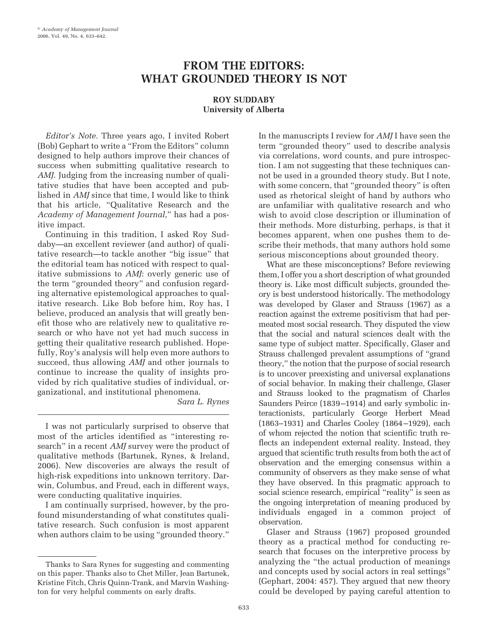# **FROM THE EDITORS: WHAT GROUNDED THEORY IS NOT**

## **ROY SUDDABY University of Alberta**

*Editor's Note.* Three years ago, I invited Robert (Bob) Gephart to write a "From the Editors" column designed to help authors improve their chances of success when submitting qualitative research to *AMJ*. Judging from the increasing number of qualitative studies that have been accepted and published in *AMJ* since that time, I would like to think that his article, "Qualitative Research and the *Academy of Management Journal,*" has had a positive impact.

Continuing in this tradition, I asked Roy Suddaby—an excellent reviewer (and author) of qualitative research—to tackle another "big issue" that the editorial team has noticed with respect to qualitative submissions to *AMJ*: overly generic use of the term "grounded theory" and confusion regarding alternative epistemological approaches to qualitative research. Like Bob before him, Roy has, I believe, produced an analysis that will greatly benefit those who are relatively new to qualitative research or who have not yet had much success in getting their qualitative research published. Hopefully, Roy's analysis will help even more authors to succeed, thus allowing *AMJ* and other journals to continue to increase the quality of insights provided by rich qualitative studies of individual, organizational, and institutional phenomena.

*Sara L. Rynes*

I was not particularly surprised to observe that most of the articles identified as "interesting research" in a recent *AMJ* survey were the product of qualitative methods (Bartunek, Rynes, & Ireland, 2006). New discoveries are always the result of high-risk expeditions into unknown territory. Darwin, Columbus, and Freud, each in different ways, were conducting qualitative inquiries.

I am continually surprised, however, by the profound misunderstanding of what constitutes qualitative research. Such confusion is most apparent when authors claim to be using "grounded theory."

In the manuscripts I review for *AMJ* I have seen the term "grounded theory" used to describe analysis via correlations, word counts, and pure introspection. I am not suggesting that these techniques cannot be used in a grounded theory study. But I note, with some concern, that "grounded theory" is often used as rhetorical sleight of hand by authors who are unfamiliar with qualitative research and who wish to avoid close description or illumination of their methods. More disturbing, perhaps, is that it becomes apparent, when one pushes them to describe their methods, that many authors hold some serious misconceptions about grounded theory.

What are these misconceptions? Before reviewing them, I offer you a short description of what grounded theory is. Like most difficult subjects, grounded theory is best understood historically. The methodology was developed by Glaser and Strauss (1967) as a reaction against the extreme positivism that had permeated most social research. They disputed the view that the social and natural sciences dealt with the same type of subject matter. Specifically, Glaser and Strauss challenged prevalent assumptions of "grand theory," the notion that the purpose of social research is to uncover preexisting and universal explanations of social behavior. In making their challenge, Glaser and Strauss looked to the pragmatism of Charles Saunders Peirce (1839–1914) and early symbolic interactionists, particularly George Herbert Mead (1863–1931) and Charles Cooley (1864–1929), each of whom rejected the notion that scientific truth reflects an independent external reality. Instead, they argued that scientific truth results from both the act of observation and the emerging consensus within a community of observers as they make sense of what they have observed. In this pragmatic approach to social science research, empirical "reality" is seen as the ongoing interpretation of meaning produced by individuals engaged in a common project of observation.

Glaser and Strauss (1967) proposed grounded theory as a practical method for conducting research that focuses on the interpretive process by analyzing the "the actual production of meanings and concepts used by social actors in real settings" (Gephart, 2004: 457). They argued that new theory could be developed by paying careful attention to

Thanks to Sara Rynes for suggesting and commenting on this paper. Thanks also to Chet Miller, Jean Bartunek, Kristine Fitch, Chris Quinn-Trank, and Marvin Washington for very helpful comments on early drafts.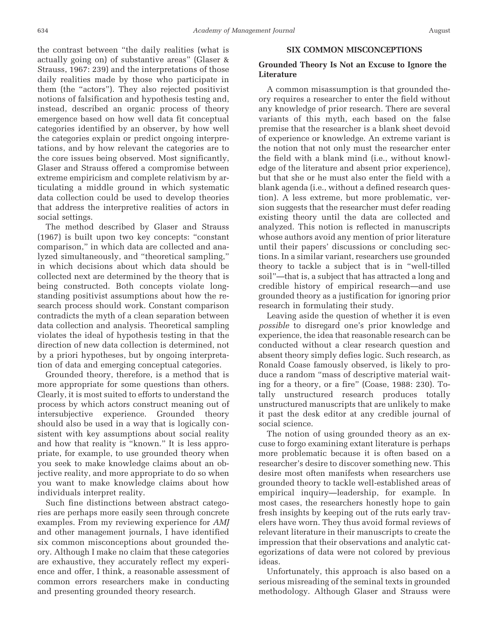the contrast between "the daily realities (what is actually going on) of substantive areas" (Glaser & Strauss, 1967: 239) and the interpretations of those daily realities made by those who participate in them (the "actors"). They also rejected positivist notions of falsification and hypothesis testing and, instead, described an organic process of theory emergence based on how well data fit conceptual categories identified by an observer, by how well the categories explain or predict ongoing interpretations, and by how relevant the categories are to the core issues being observed. Most significantly, Glaser and Strauss offered a compromise between

extreme empiricism and complete relativism by articulating a middle ground in which systematic data collection could be used to develop theories that address the interpretive realities of actors in social settings.

The method described by Glaser and Strauss (1967) is built upon two key concepts: "constant comparison," in which data are collected and analyzed simultaneously, and "theoretical sampling," in which decisions about which data should be collected next are determined by the theory that is being constructed. Both concepts violate longstanding positivist assumptions about how the research process should work. Constant comparison contradicts the myth of a clean separation between data collection and analysis. Theoretical sampling violates the ideal of hypothesis testing in that the direction of new data collection is determined, not by a priori hypotheses, but by ongoing interpretation of data and emerging conceptual categories.

Grounded theory, therefore, is a method that is more appropriate for some questions than others. Clearly, it is most suited to efforts to understand the process by which actors construct meaning out of intersubjective experience. Grounded theory should also be used in a way that is logically consistent with key assumptions about social reality and how that reality is "known." It is less appropriate, for example, to use grounded theory when you seek to make knowledge claims about an objective reality, and more appropriate to do so when you want to make knowledge claims about how individuals interpret reality.

Such fine distinctions between abstract categories are perhaps more easily seen through concrete examples. From my reviewing experience for *AMJ* and other management journals, I have identified six common misconceptions about grounded theory. Although I make no claim that these categories are exhaustive, they accurately reflect my experience and offer, I think, a reasonable assessment of common errors researchers make in conducting and presenting grounded theory research.

#### **SIX COMMON MISCONCEPTIONS**

#### **Grounded Theory Is Not an Excuse to Ignore the Literature**

A common misassumption is that grounded theory requires a researcher to enter the field without any knowledge of prior research. There are several variants of this myth, each based on the false premise that the researcher is a blank sheet devoid of experience or knowledge. An extreme variant is the notion that not only must the researcher enter the field with a blank mind (i.e., without knowledge of the literature and absent prior experience), but that she or he must also enter the field with a blank agenda (i.e., without a defined research question). A less extreme, but more problematic, version suggests that the researcher must defer reading existing theory until the data are collected and analyzed. This notion is reflected in manuscripts whose authors avoid any mention of prior literature until their papers' discussions or concluding sections. In a similar variant, researchers use grounded theory to tackle a subject that is in "well-tilled soil"—that is, a subject that has attracted a long and credible history of empirical research—and use grounded theory as a justification for ignoring prior research in formulating their study.

Leaving aside the question of whether it is even *possible* to disregard one's prior knowledge and experience, the idea that reasonable research can be conducted without a clear research question and absent theory simply defies logic. Such research, as Ronald Coase famously observed, is likely to produce a random "mass of descriptive material waiting for a theory, or a fire" (Coase, 1988: 230). Totally unstructured research produces totally unstructured manuscripts that are unlikely to make it past the desk editor at any credible journal of social science.

The notion of using grounded theory as an excuse to forgo examining extant literature is perhaps more problematic because it is often based on a researcher's desire to discover something new. This desire most often manifests when researchers use grounded theory to tackle well-established areas of empirical inquiry—leadership, for example. In most cases, the researchers honestly hope to gain fresh insights by keeping out of the ruts early travelers have worn. They thus avoid formal reviews of relevant literature in their manuscripts to create the impression that their observations and analytic categorizations of data were not colored by previous ideas.

Unfortunately, this approach is also based on a serious misreading of the seminal texts in grounded methodology. Although Glaser and Strauss were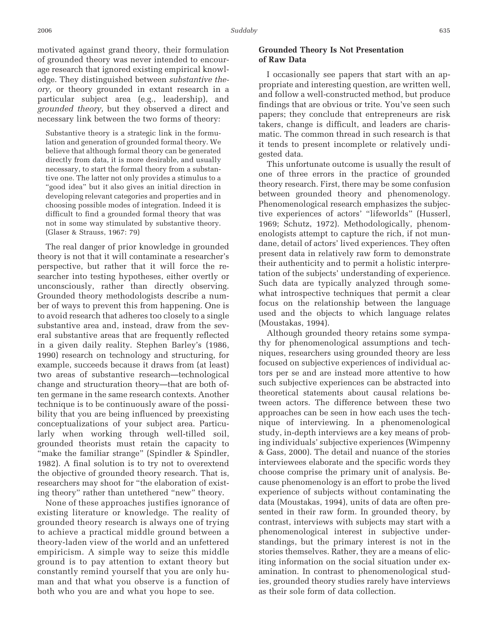motivated against grand theory, their formulation of grounded theory was never intended to encourage research that ignored existing empirical knowledge. They distinguished between *substantive theory,* or theory grounded in extant research in a particular subject area (e.g., leadership), and *grounded theory,* but they observed a direct and necessary link between the two forms of theory:

Substantive theory is a strategic link in the formulation and generation of grounded formal theory. We believe that although formal theory can be generated directly from data, it is more desirable, and usually necessary, to start the formal theory from a substantive one. The latter not only provides a stimulus to a "good idea" but it also gives an initial direction in developing relevant categories and properties and in choosing possible modes of integration. Indeed it is difficult to find a grounded formal theory that was not in some way stimulated by substantive theory. (Glaser & Strauss, 1967: 79)

The real danger of prior knowledge in grounded theory is not that it will contaminate a researcher's perspective, but rather that it will force the researcher into testing hypotheses, either overtly or unconsciously, rather than directly observing. Grounded theory methodologists describe a number of ways to prevent this from happening. One is to avoid research that adheres too closely to a single substantive area and, instead, draw from the several substantive areas that are frequently reflected in a given daily reality. Stephen Barley's (1986, 1990) research on technology and structuring, for example, succeeds because it draws from (at least) two areas of substantive research—technological change and structuration theory—that are both often germane in the same research contexts. Another technique is to be continuously aware of the possibility that you are being influenced by preexisting conceptualizations of your subject area. Particularly when working through well-tilled soil, grounded theorists must retain the capacity to "make the familiar strange" (Spindler & Spindler, 1982). A final solution is to try not to overextend the objective of grounded theory research. That is, researchers may shoot for "the elaboration of existing theory" rather than untethered "new" theory.

None of these approaches justifies ignorance of existing literature or knowledge. The reality of grounded theory research is always one of trying to achieve a practical middle ground between a theory-laden view of the world and an unfettered empiricism. A simple way to seize this middle ground is to pay attention to extant theory but constantly remind yourself that you are only human and that what you observe is a function of both who you are and what you hope to see.

#### **Grounded Theory Is Not Presentation of Raw Data**

I occasionally see papers that start with an appropriate and interesting question, are written well, and follow a well-constructed method, but produce findings that are obvious or trite. You've seen such papers; they conclude that entrepreneurs are risk takers, change is difficult, and leaders are charismatic. The common thread in such research is that it tends to present incomplete or relatively undigested data.

This unfortunate outcome is usually the result of one of three errors in the practice of grounded theory research. First, there may be some confusion between grounded theory and phenomenology. Phenomenological research emphasizes the subjective experiences of actors' "lifeworlds" (Husserl, 1969; Schutz, 1972). Methodologically, phenomenologists attempt to capture the rich, if not mundane, detail of actors' lived experiences. They often present data in relatively raw form to demonstrate their authenticity and to permit a holistic interpretation of the subjects' understanding of experience. Such data are typically analyzed through somewhat introspective techniques that permit a clear focus on the relationship between the language used and the objects to which language relates (Moustakas, 1994).

Although grounded theory retains some sympathy for phenomenological assumptions and techniques, researchers using grounded theory are less focused on subjective experiences of individual actors per se and are instead more attentive to how such subjective experiences can be abstracted into theoretical statements about causal relations between actors. The difference between these two approaches can be seen in how each uses the technique of interviewing. In a phenomenological study, in-depth interviews are a key means of probing individuals' subjective experiences (Wimpenny & Gass, 2000). The detail and nuance of the stories interviewees elaborate and the specific words they choose comprise the primary unit of analysis. Because phenomenology is an effort to probe the lived experience of subjects without contaminating the data (Moustakas, 1994), units of data are often presented in their raw form. In grounded theory, by contrast, interviews with subjects may start with a phenomenological interest in subjective understandings, but the primary interest is not in the stories themselves. Rather, they are a means of eliciting information on the social situation under examination. In contrast to phenomenological studies, grounded theory studies rarely have interviews as their sole form of data collection.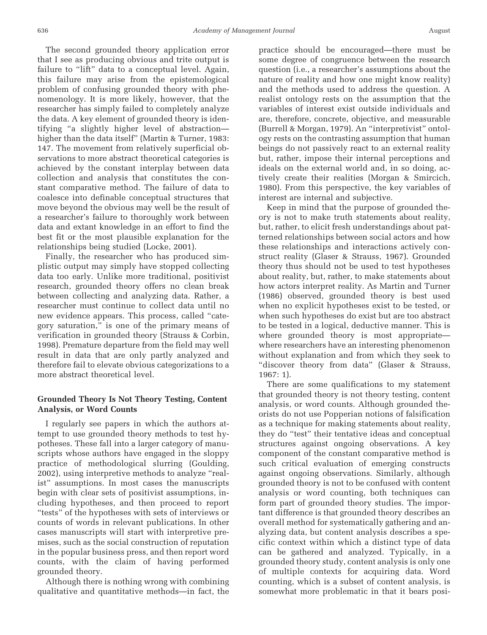The second grounded theory application error that I see as producing obvious and trite output is failure to "lift" data to a conceptual level. Again, this failure may arise from the epistemological problem of confusing grounded theory with phenomenology. It is more likely, however, that the researcher has simply failed to completely analyze the data. A key element of grounded theory is identifying "a slightly higher level of abstraction higher than the data itself" (Martin & Turner, 1983: 147. The movement from relatively superficial observations to more abstract theoretical categories is achieved by the constant interplay between data collection and analysis that constitutes the constant comparative method. The failure of data to coalesce into definable conceptual structures that move beyond the obvious may well be the result of a researcher's failure to thoroughly work between data and extant knowledge in an effort to find the best fit or the most plausible explanation for the relationships being studied (Locke, 2001).

Finally, the researcher who has produced simplistic output may simply have stopped collecting data too early. Unlike more traditional, positivist research, grounded theory offers no clean break between collecting and analyzing data. Rather, a researcher must continue to collect data until no new evidence appears. This process, called "category saturation," is one of the primary means of verification in grounded theory (Strauss & Corbin, 1998). Premature departure from the field may well result in data that are only partly analyzed and therefore fail to elevate obvious categorizations to a more abstract theoretical level.

## **Grounded Theory Is Not Theory Testing, Content Analysis, or Word Counts**

I regularly see papers in which the authors attempt to use grounded theory methods to test hypotheses. These fall into a larger category of manuscripts whose authors have engaged in the sloppy practice of methodological slurring (Goulding, 2002), using interpretive methods to analyze "realist" assumptions. In most cases the manuscripts begin with clear sets of positivist assumptions, including hypotheses, and then proceed to report "tests" of the hypotheses with sets of interviews or counts of words in relevant publications. In other cases manuscripts will start with interpretive premises, such as the social construction of reputation in the popular business press, and then report word counts, with the claim of having performed grounded theory.

Although there is nothing wrong with combining qualitative and quantitative methods—in fact, the

practice should be encouraged—there must be some degree of congruence between the research question (i.e., a researcher's assumptions about the nature of reality and how one might know reality) and the methods used to address the question. A realist ontology rests on the assumption that the variables of interest exist outside individuals and are, therefore, concrete, objective, and measurable (Burrell & Morgan, 1979). An "interpretivist" ontology rests on the contrasting assumption that human beings do not passively react to an external reality but, rather, impose their internal perceptions and ideals on the external world and, in so doing, actively create their realities (Morgan & Smircich, 1980). From this perspective, the key variables of interest are internal and subjective.

Keep in mind that the purpose of grounded theory is not to make truth statements about reality, but, rather, to elicit fresh understandings about patterned relationships between social actors and how these relationships and interactions actively construct reality (Glaser & Strauss, 1967). Grounded theory thus should not be used to test hypotheses about reality, but, rather, to make statements about how actors interpret reality. As Martin and Turner (1986) observed, grounded theory is best used when no explicit hypotheses exist to be tested, or when such hypotheses do exist but are too abstract to be tested in a logical, deductive manner. This is where grounded theory is most appropriate where researchers have an interesting phenomenon without explanation and from which they seek to "discover theory from data" (Glaser & Strauss, 1967: 1).

There are some qualifications to my statement that grounded theory is not theory testing, content analysis, or word counts. Although grounded theorists do not use Popperian notions of falsification as a technique for making statements about reality, they do "test" their tentative ideas and conceptual structures against ongoing observations. A key component of the constant comparative method is such critical evaluation of emerging constructs against ongoing observations. Similarly, although grounded theory is not to be confused with content analysis or word counting, both techniques can form part of grounded theory studies. The important difference is that grounded theory describes an overall method for systematically gathering and analyzing data, but content analysis describes a specific context within which a distinct type of data can be gathered and analyzed. Typically, in a grounded theory study, content analysis is only one of multiple contexts for acquiring data. Word counting, which is a subset of content analysis, is somewhat more problematic in that it bears posi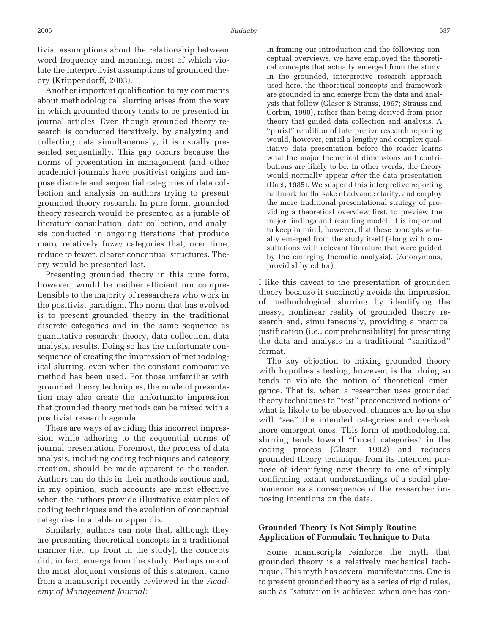tivist assumptions about the relationship between word frequency and meaning, most of which violate the interpretivist assumptions of grounded theory (Krippendorff, 2003).

Another important qualification to my comments about methodological slurring arises from the way in which grounded theory tends to be presented in journal articles. Even though grounded theory research is conducted iteratively, by analyzing and collecting data simultaneously, it is usually presented sequentially. This gap occurs because the norms of presentation in management (and other academic) journals have positivist origins and impose discrete and sequential categories of data collection and analysis on authors trying to present grounded theory research. In pure form, grounded theory research would be presented as a jumble of literature consultation, data collection, and analysis conducted in ongoing iterations that produce many relatively fuzzy categories that, over time, reduce to fewer, clearer conceptual structures. Theory would be presented last.

Presenting grounded theory in this pure form, however, would be neither efficient nor comprehensible to the majority of researchers who work in the positivist paradigm. The norm that has evolved is to present grounded theory in the traditional discrete categories and in the same sequence as quantitative research: theory, data collection, data analysis, results. Doing so has the unfortunate consequence of creating the impression of methodological slurring, even when the constant comparative method has been used. For those unfamiliar with grounded theory techniques, the mode of presentation may also create the unfortunate impression that grounded theory methods can be mixed with a positivist research agenda.

There are ways of avoiding this incorrect impression while adhering to the sequential norms of journal presentation. Foremost, the process of data analysis, including coding techniques and category creation, should be made apparent to the reader. Authors can do this in their methods sections and, in my opinion, such accounts are most effective when the authors provide illustrative examples of coding techniques and the evolution of conceptual categories in a table or appendix.

Similarly, authors can note that, although they are presenting theoretical concepts in a traditional manner (i.e., up front in the study), the concepts did, in fact, emerge from the study. Perhaps one of the most eloquent versions of this statement came from a manuscript recently reviewed in the *Academy of Management Journal:*

In framing our introduction and the following conceptual overviews, we have employed the theoretical concepts that actually emerged from the study. In the grounded, interpretive research approach used here, the theoretical concepts and framework are grounded in and emerge from the data and analysis that follow (Glaser & Strauss, 1967; Strauss and Corbin, 1990), rather than being derived from prior theory that guided data collection and analysis. A "purist" rendition of interpretive research reporting would, however, entail a lengthy and complex qualitative data presentation before the reader learns what the major theoretical dimensions and contributions are likely to be. In other words, the theory would normally appear *after* the data presentation (Dact, 1985). We suspend this interpretive reporting hallmark for the sake of advance clarity, and employ the more traditional presentational strategy of providing a theoretical overview first, to preview the major findings and resulting model. It is important to keep in mind, however, that these concepts actually emerged from the study itself (along with consultations with relevant literature that were guided by the emerging thematic analysis). (Anonymous, provided by editor)

I like this caveat to the presentation of grounded theory because it succinctly avoids the impression of methodological slurring by identifying the messy, nonlinear reality of grounded theory research and, simultaneously, providing a practical justification (i.e., comprehensibility) for presenting the data and analysis in a traditional "sanitized" format.

The key objection to mixing grounded theory with hypothesis testing, however, is that doing so tends to violate the notion of theoretical emergence. That is, when a researcher uses grounded theory techniques to "test" preconceived notions of what is likely to be observed, chances are he or she will "see" the intended categories and overlook more emergent ones. This form of methodological slurring tends toward "forced categories" in the coding process (Glaser, 1992) and reduces grounded theory technique from its intended purpose of identifying new theory to one of simply confirming extant understandings of a social phenomenon as a consequence of the researcher imposing intentions on the data.

## **Grounded Theory Is Not Simply Routine Application of Formulaic Technique to Data**

Some manuscripts reinforce the myth that grounded theory is a relatively mechanical technique. This myth has several manifestations. One is to present grounded theory as a series of rigid rules, such as "saturation is achieved when one has con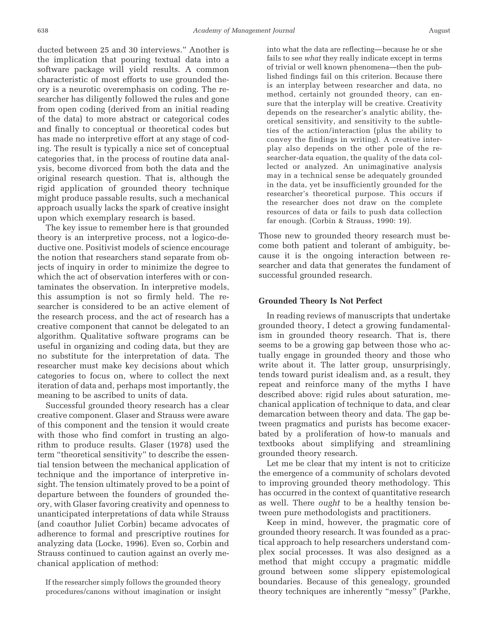ducted between 25 and 30 interviews." Another is the implication that pouring textual data into a software package will yield results. A common characteristic of most efforts to use grounded theory is a neurotic overemphasis on coding. The researcher has diligently followed the rules and gone from open coding (derived from an initial reading of the data) to more abstract or categorical codes and finally to conceptual or theoretical codes but has made no interpretive effort at any stage of coding. The result is typically a nice set of conceptual categories that, in the process of routine data analysis, become divorced from both the data and the original research question. That is, although the rigid application of grounded theory technique might produce passable results, such a mechanical approach usually lacks the spark of creative insight upon which exemplary research is based.

The key issue to remember here is that grounded theory is an interpretive process, not a logico-deductive one. Positivist models of science encourage the notion that researchers stand separate from objects of inquiry in order to minimize the degree to which the act of observation interferes with or contaminates the observation. In interpretive models, this assumption is not so firmly held. The researcher is considered to be an active element of the research process, and the act of research has a creative component that cannot be delegated to an algorithm. Qualitative software programs can be useful in organizing and coding data, but they are no substitute for the interpretation of data. The researcher must make key decisions about which categories to focus on, where to collect the next iteration of data and, perhaps most importantly, the meaning to be ascribed to units of data.

Successful grounded theory research has a clear creative component. Glaser and Strauss were aware of this component and the tension it would create with those who find comfort in trusting an algorithm to produce results. Glaser (1978) used the term "theoretical sensitivity" to describe the essential tension between the mechanical application of technique and the importance of interpretive insight. The tension ultimately proved to be a point of departure between the founders of grounded theory, with Glaser favoring creativity and openness to unanticipated interpretations of data while Strauss (and coauthor Juliet Corbin) became advocates of adherence to formal and prescriptive routines for analyzing data (Locke, 1996). Even so, Corbin and Strauss continued to caution against an overly mechanical application of method:

If the researcher simply follows the grounded theory procedures/canons without imagination or insight into what the data are reflecting— because he or she fails to see *what* they really indicate except in terms of trivial or well known phenomena—then the published findings fail on this criterion. Because there is an interplay between researcher and data, no method, certainly not grounded theory, can ensure that the interplay will be creative. Creativity depends on the researcher's analytic ability, theoretical sensitivity, and sensitivity to the subtleties of the action/interaction (plus the ability to convey the findings in writing). A creative interplay also depends on the other pole of the researcher-data equation, the quality of the data collected or analyzed. An unimaginative analysis may in a technical sense be adequately grounded in the data, yet be insufficiently grounded for the researcher's theoretical purpose. This occurs if the researcher does not draw on the complete resources of data or fails to push data collection far enough. (Corbin & Strauss, 1990: 19).

Those new to grounded theory research must become both patient and tolerant of ambiguity, because it is the ongoing interaction between researcher and data that generates the fundament of successful grounded research.

#### **Grounded Theory Is Not Perfect**

In reading reviews of manuscripts that undertake grounded theory, I detect a growing fundamentalism in grounded theory research. That is, there seems to be a growing gap between those who actually engage in grounded theory and those who write about it. The latter group, unsurprisingly, tends toward purist idealism and, as a result, they repeat and reinforce many of the myths I have described above: rigid rules about saturation, mechanical application of technique to data, and clear demarcation between theory and data. The gap between pragmatics and purists has become exacerbated by a proliferation of how-to manuals and textbooks about simplifying and streamlining grounded theory research.

Let me be clear that my intent is not to criticize the emergence of a community of scholars devoted to improving grounded theory methodology. This has occurred in the context of quantitative research as well. There *ought* to be a healthy tension between pure methodologists and practitioners.

Keep in mind, however, the pragmatic core of grounded theory research. It was founded as a practical approach to help researchers understand complex social processes. It was also designed as a method that might cccupy a pragmatic middle ground between some slippery epistemological boundaries. Because of this genealogy, grounded theory techniques are inherently "messy" (Parkhe,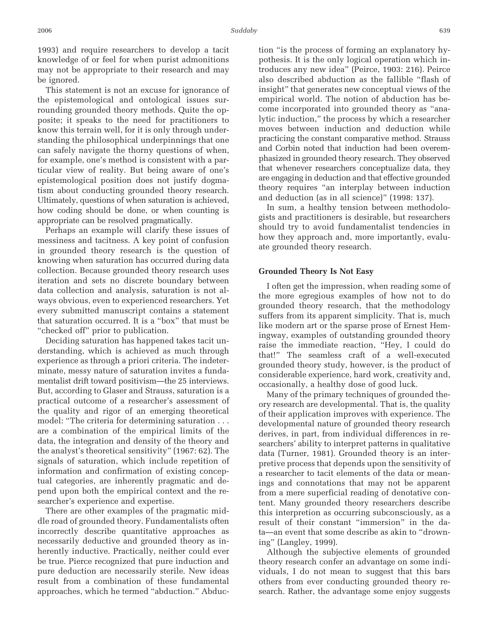1993) and require researchers to develop a tacit knowledge of or feel for when purist admonitions may not be appropriate to their research and may be ignored.

This statement is not an excuse for ignorance of the epistemological and ontological issues surrounding grounded theory methods. Quite the opposite; it speaks to the need for practitioners to know this terrain well, for it is only through understanding the philosophical underpinnings that one can safely navigate the thorny questions of when, for example, one's method is consistent with a particular view of reality. But being aware of one's epistemological position does not justify dogmatism about conducting grounded theory research. Ultimately, questions of when saturation is achieved, how coding should be done, or when counting is appropriate can be resolved pragmatically.

Perhaps an example will clarify these issues of messiness and tacitness. A key point of confusion in grounded theory research is the question of knowing when saturation has occurred during data collection. Because grounded theory research uses iteration and sets no discrete boundary between data collection and analysis, saturation is not always obvious, even to experienced researchers. Yet every submitted manuscript contains a statement that saturation occurred. It is a "box" that must be "checked off" prior to publication.

Deciding saturation has happened takes tacit understanding, which is achieved as much through experience as through a priori criteria. The indeterminate, messy nature of saturation invites a fundamentalist drift toward positivism—the 25 interviews. But, according to Glaser and Strauss, saturation is a practical outcome of a researcher's assessment of the quality and rigor of an emerging theoretical model: "The criteria for determining saturation . . . are a combination of the empirical limits of the data, the integration and density of the theory and the analyst's theoretical sensitivity" (1967: 62). The signals of saturation, which include repetition of information and confirmation of existing conceptual categories, are inherently pragmatic and depend upon both the empirical context and the researcher's experience and expertise.

There are other examples of the pragmatic middle road of grounded theory. Fundamentalists often incorrectly describe quantitative approaches as necessarily deductive and grounded theory as inherently inductive. Practically, neither could ever be true. Pierce recognized that pure induction and pure deduction are necessarily sterile. New ideas result from a combination of these fundamental approaches, which he termed "abduction." Abduction "is the process of forming an explanatory hypothesis. It is the only logical operation which introduces any new idea" (Peirce, 1903: 216). Peirce also described abduction as the fallible "flash of insight" that generates new conceptual views of the empirical world. The notion of abduction has become incorporated into grounded theory as "analytic induction," the process by which a researcher moves between induction and deduction while practicing the constant comparative method. Strauss and Corbin noted that induction had been overemphasized in grounded theory research. They observed that whenever researchers conceptualize data, they are engaging in deduction and that effective grounded theory requires "an interplay between induction and deduction (as in all science)" (1998: 137).

In sum, a healthy tension between methodologists and practitioners is desirable, but researchers should try to avoid fundamentalist tendencies in how they approach and, more importantly, evaluate grounded theory research.

#### **Grounded Theory Is Not Easy**

I often get the impression, when reading some of the more egregious examples of how not to do grounded theory research, that the methodology suffers from its apparent simplicity. That is, much like modern art or the sparse prose of Ernest Hemingway, examples of outstanding grounded theory raise the immediate reaction, "Hey, I could do that!" The seamless craft of a well-executed grounded theory study, however, is the product of considerable experience, hard work, creativity and, occasionally, a healthy dose of good luck.

Many of the primary techniques of grounded theory research are developmental. That is, the quality of their application improves with experience. The developmental nature of grounded theory research derives, in part, from individual differences in researchers' ability to interpret patterns in qualitative data (Turner, 1981). Grounded theory is an interpretive process that depends upon the sensitivity of a researcher to tacit elements of the data or meanings and connotations that may not be apparent from a mere superficial reading of denotative content. Many grounded theory researchers describe this interpretion as occurring subconsciously, as a result of their constant "immersion" in the data—an event that some describe as akin to "drowning" (Langley, 1999).

Although the subjective elements of grounded theory research confer an advantage on some individuals, I do not mean to suggest that this bars others from ever conducting grounded theory research. Rather, the advantage some enjoy suggests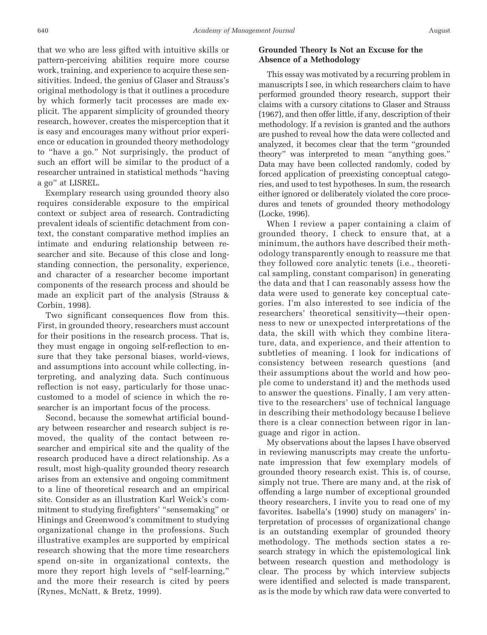that we who are less gifted with intuitive skills or pattern-perceiving abilities require more course work, training, and experience to acquire these sensitivities. Indeed, the genius of Glaser and Strauss's original methodology is that it outlines a procedure by which formerly tacit processes are made explicit. The apparent simplicity of grounded theory research, however, creates the misperception that it is easy and encourages many without prior experience or education in grounded theory methodology to "have a go." Not surprisingly, the product of such an effort will be similar to the product of a researcher untrained in statistical methods "having a go" at LISREL.

Exemplary research using grounded theory also requires considerable exposure to the empirical context or subject area of research. Contradicting prevalent ideals of scientific detachment from context, the constant comparative method implies an intimate and enduring relationship between researcher and site. Because of this close and longstanding connection, the personality, experience, and character of a researcher become important components of the research process and should be made an explicit part of the analysis (Strauss & Corbin, 1998).

Two significant consequences flow from this. First, in grounded theory, researchers must account for their positions in the research process. That is, they must engage in ongoing self-reflection to ensure that they take personal biases, world-views, and assumptions into account while collecting, interpreting, and analyzing data. Such continuous reflection is not easy, particularly for those unaccustomed to a model of science in which the researcher is an important focus of the process.

Second, because the somewhat artificial boundary between researcher and research subject is removed, the quality of the contact between researcher and empirical site and the quality of the research produced have a direct relationship. As a result, most high-quality grounded theory research arises from an extensive and ongoing commitment to a line of theoretical research and an empirical site. Consider as an illustration Karl Weick's commitment to studying firefighters' "sensemaking" or Hinings and Greenwood's commitment to studying organizational change in the professions. Such illustrative examples are supported by empirical research showing that the more time researchers spend on-site in organizational contexts, the more they report high levels of "self-learning," and the more their research is cited by peers (Rynes, McNatt, & Bretz, 1999).

## **Grounded Theory Is Not an Excuse for the Absence of a Methodology**

This essay was motivated by a recurring problem in manuscripts I see, in which researchers claim to have performed grounded theory research, support their claims with a cursory citations to Glaser and Strauss (1967), and then offer little, if any, description of their methodology. If a revision is granted and the authors are pushed to reveal how the data were collected and analyzed, it becomes clear that the term "grounded theory" was interpreted to mean "anything goes." Data may have been collected randomly, coded by forced application of preexisting conceptual categories, and used to test hypotheses. In sum, the research either ignored or deliberately violated the core procedures and tenets of grounded theory methodology (Locke, 1996).

When I review a paper containing a claim of grounded theory, I check to ensure that, at a minimum, the authors have described their methodology transparently enough to reassure me that they followed core analytic tenets (i.e., theoretical sampling, constant comparison) in generating the data and that I can reasonably assess how the data were used to generate key conceptual categories. I'm also interested to see indicia of the researchers' theoretical sensitivity—their openness to new or unexpected interpretations of the data, the skill with which they combine literature, data, and experience, and their attention to subtleties of meaning. I look for indications of consistency between research questions (and their assumptions about the world and how people come to understand it) and the methods used to answer the questions. Finally, I am very attentive to the researchers' use of technical language in describing their methodology because I believe there is a clear connection between rigor in language and rigor in action.

My observations about the lapses I have observed in reviewing manuscripts may create the unfortunate impression that few exemplary models of grounded theory research exist. This is, of course, simply not true. There are many and, at the risk of offending a large number of exceptional grounded theory researchers, I invite you to read one of my favorites. Isabella's (1990) study on managers' interpretation of processes of organizational change is an outstanding exemplar of grounded theory methodology. The methods section states a research strategy in which the epistemological link between research question and methodology is clear. The process by which interview subjects were identified and selected is made transparent, as is the mode by which raw data were converted to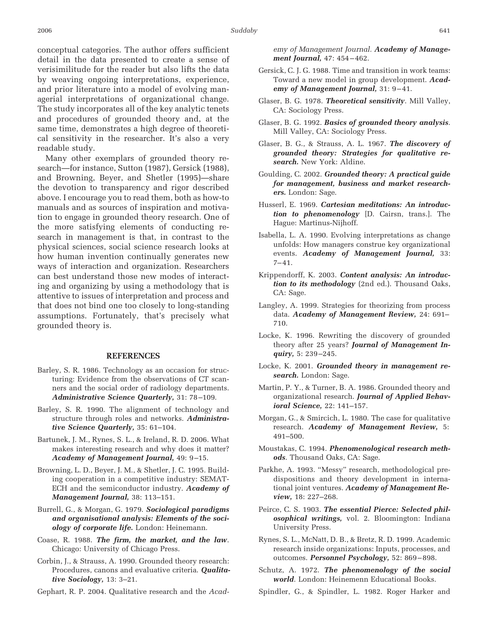conceptual categories. The author offers sufficient detail in the data presented to create a sense of verisimilitude for the reader but also lifts the data by weaving ongoing interpretations, experience, and prior literature into a model of evolving managerial interpretations of organizational change. The study incorporates all of the key analytic tenets and procedures of grounded theory and, at the same time, demonstrates a high degree of theoretical sensitivity in the researcher. It's also a very readable study.

Many other exemplars of grounded theory research—for instance, Sutton (1987), Gersick (1988), and Browning, Beyer, and Shetler (1995)—share the devotion to transparency and rigor described above. I encourage you to read them, both as how-to manuals and as sources of inspiration and motivation to engage in grounded theory research. One of the more satisfying elements of conducting research in management is that, in contrast to the physical sciences, social science research looks at how human invention continually generates new ways of interaction and organization. Researchers can best understand those new modes of interacting and organizing by using a methodology that is attentive to issues of interpretation and process and that does not bind one too closely to long-standing assumptions. Fortunately, that's precisely what grounded theory is.

#### **REFERENCES**

- Barley, S. R. 1986. Technology as an occasion for structuring: Evidence from the observations of CT scanners and the social order of radiology departments. *Administrative Science Quarterly,* 31: 78 –109.
- Barley, S. R. 1990. The alignment of technology and structure through roles and networks. *Administrative Science Quarterly,* 35: 61–104.
- Bartunek, J. M., Rynes, S. L., & Ireland, R. D. 2006. What makes interesting research and why does it matter? *Academy of Management Journal,* 49: 9 –15.
- Browning, L. D., Beyer, J. M., & Shetler, J. C. 1995. Building cooperation in a competitive industry: SEMAT-ECH and the semiconductor industry. *Academy of Management Journal,* 38: 113–151.
- Burrell, G., & Morgan, G. 1979. *Sociological paradigms and organisational analysis: Elements of the sociology of corporate life.* London: Heinemann.
- Coase, R. 1988. *The firm, the market, and the law*. Chicago: University of Chicago Press.
- Corbin, J., & Strauss, A. 1990. Grounded theory research: Procedures, canons and evaluative criteria. *Qualitative Sociology,* 13: 3–21.

Gephart, R. P. 2004. Qualitative research and the *Acad-*

*emy of Management Journal. Academy of Management Journal,* 47: 454 – 462.

- Gersick, C. J. G. 1988. Time and transition in work teams: Toward a new model in group development. *Academy of Management Journal,* 31: 9-41.
- Glaser, B. G. 1978. *Theoretical sensitivity*. Mill Valley, CA: Sociology Press.
- Glaser, B. G. 1992. *Basics of grounded theory analysis*. Mill Valley, CA: Sociology Press.
- Glaser, B. G., & Strauss, A. L. 1967. *The discovery of grounded theory: Strategies for qualitative research.* New York: Aldine.
- Goulding, C. 2002. *Grounded theory: A practical guide for management, business and market researchers.* London: Sage.
- Husserl, E. 1969. *Cartesian meditations: An introduction to phenomenology* [D. Cairsn, trans.]. The Hague: Martinus-Nijhoff.
- Isabella, L. A. 1990. Evolving interpretations as change unfolds: How managers construe key organizational events. *Academy of Management Journal,* 33:  $7 - 41.$
- Krippendorff, K. 2003. *Content analysis: An introduction to its methodology* (2nd ed.). Thousand Oaks, CA: Sage.
- Langley, A. 1999. Strategies for theorizing from process data. *Academy of Management Review,* 24: 691– 710.
- Locke, K. 1996. Rewriting the discovery of grounded theory after 25 years? *Journal of Management Inquiry,* 5: 239 –245.
- Locke, K. 2001. *Grounded theory in management research.* London: Sage.
- Martin, P. Y., & Turner, B. A. 1986. Grounded theory and organizational research. *Journal of Applied Behavioral Science,* 22: 141–157.
- Morgan, G., & Smircich, L. 1980. The case for qualitative research. *Academy of Management Review,* 5: 491–500.
- Moustakas, C. 1994. *Phenomenological research methods*. Thousand Oaks, CA: Sage.
- Parkhe, A. 1993. "Messy" research, methodological predispositions and theory development in international joint ventures. *Academy of Management Review,* 18: 227–268.
- Peirce, C. S. 1903. *The essential Pierce: Selected philosophical writings,* vol. 2. Bloomington: Indiana University Press.
- Rynes, S. L., McNatt, D. B., & Bretz, R. D. 1999. Academic research inside organizations: Inputs, processes, and outcomes. *Personnel Psychology,* 52: 869 – 898.
- Schutz, A. 1972. *The phenomenology of the social world*. London: Heinemenn Educational Books.
- Spindler, G., & Spindler, L. 1982. Roger Harker and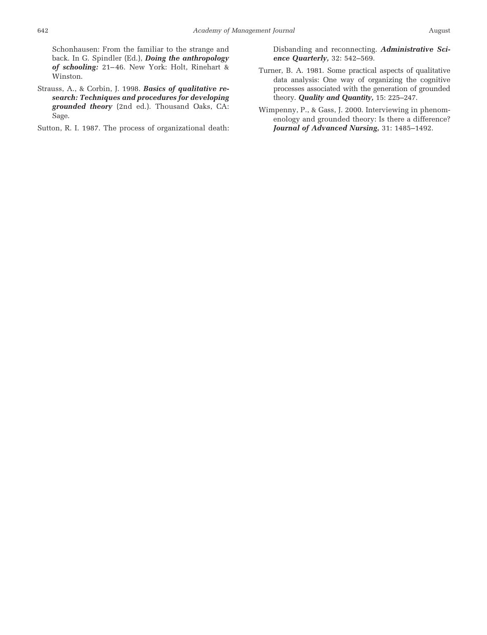Schonhausen: From the familiar to the strange and back. In G. Spindler (Ed.), *Doing the anthropology* of schooling: 21-46. New York: Holt, Rinehart & Winston.

Strauss, A., & Corbin, J. 1998. *Basics of qualitative research: Techniques and procedures for developing grounded theory* (2nd ed.). Thousand Oaks, CA: Sage.

Sutton, R. I. 1987. The process of organizational death:

Disbanding and reconnecting. *Administrative Science Quarterly,* 32: 542–569.

- Turner, B. A. 1981. Some practical aspects of qualitative data analysis: One way of organizing the cognitive processes associated with the generation of grounded theory. *Quality and Quantity,* 15: 225–247.
- Wimpenny, P., & Gass, J. 2000. Interviewing in phenomenology and grounded theory: Is there a difference? *Journal of Advanced Nursing,* 31: 1485–1492.